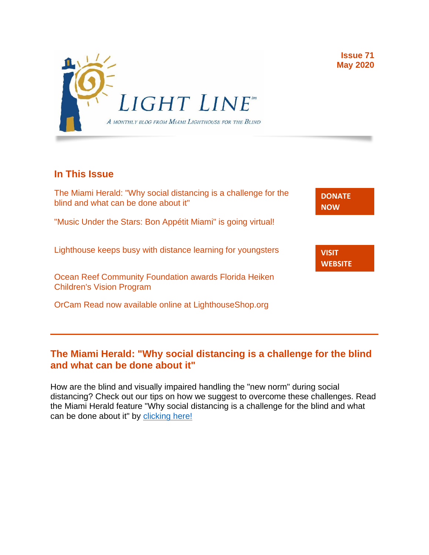

## **In This Issue**

The Miami Herald: "Why social distancing is a challenge for the blind and what can be done about it"

"Music Under the Stars: Bon Appétit Miami" is going virtual!

Lighthouse keeps busy with distance learning for youngsters

Ocean Reef Community Foundation awards Florida Heiken Children's Vision Program

OrCam Read now available online at LighthouseShop.org

**[DONATE](http://r20.rs6.net/tn.jsp?f=001gO2GdS4FPEo240mg91k3c6HYN6ozMk69i8vrHipkUVt0nirc6iRjFsnZMWQfGpPyX5jA608dzGsffulXhDWN87JpF0RNMOsrEiEcR9KIVEjaVePiHS9eny3wE9Zh3DibFuDj7zvtMQCXwVbtALXi3_cnEJaT8XURz8jTt9N4yGe0rF3VoM8Y5mGhwRavYQ9CBe_fM4GbcQM=&c=A5xWHdmKDISdqoVssYAkMfhtdAlzuVskAHp3ASewWzRv5OnB7XubeA==&ch=KFi9wV6k5Z13Ef8Qia4fM-L584mfsNs0RWKjkNv-Bombmn4mZKg5Lw==) NOW**

**VISIT [WEBSITE](http://r20.rs6.net/tn.jsp?f=001gO2GdS4FPEo240mg91k3c6HYN6ozMk69i8vrHipkUVt0nirc6iRjFp5OLUPp5xz8iJ7cM7NxB4ho-pmJZegg-UUCCff2BfEg0hVFNWmithw5L76cpbdpMlw1ZgIRlQC6OwIp0zOZvc1jcAvQYtup6ODb3HvWFX4_CFaBZinytweEHJSIK44w1g==&c=A5xWHdmKDISdqoVssYAkMfhtdAlzuVskAHp3ASewWzRv5OnB7XubeA==&ch=KFi9wV6k5Z13Ef8Qia4fM-L584mfsNs0RWKjkNv-Bombmn4mZKg5Lw==)**

#### **The Miami Herald: "Why social distancing is a challenge for the blind and what can be done about it"**

How are the blind and visually impaired handling the "new norm" during social distancing? Check out our tips on how we suggest to overcome these challenges. Read the Miami Herald feature "Why social distancing is a challenge for the blind and what can be done about it" by [clicking here!](https://www.miamiherald.com/article242338731.html)

**Issue 71 May 2020**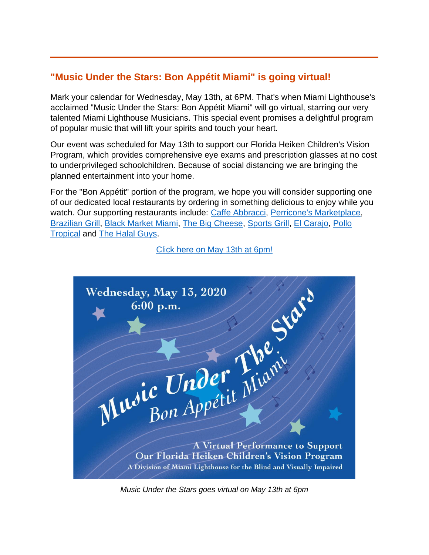# **"Music Under the Stars: Bon Appétit Miami" is going virtual!**

Mark your calendar for Wednesday, May 13th, at 6PM. That's when Miami Lighthouse's acclaimed "Music Under the Stars: Bon Appétit Miami" will go virtual, starring our very talented Miami Lighthouse Musicians. This special event promises a delightful program of popular music that will lift your spirits and touch your heart.

Our event was scheduled for May 13th to support our Florida Heiken Children's Vision Program, which provides comprehensive eye exams and prescription glasses at no cost to underprivileged schoolchildren. Because of social distancing we are bringing the planned entertainment into your home.

For the "Bon Appétit" portion of the program, we hope you will consider supporting one of our dedicated local restaurants by ordering in something delicious to enjoy while you watch. Our supporting restaurants include: [Caffe Abbracci,](http://caffeabbracci.com/) [Perricone's Marketplace,](http://www.perricones.com/) [Brazilian Grill,](http://www.braziliangrillcateringmiami.com/) [Black Market Miami,](https://blackmarketmia.com/) [The Big Cheese,](https://www.bigcheesemiami.com/) [Sports Grill,](http://sportsgrillmiami.com/) [El Carajo,](https://el-carajo.com/) [Pollo](https://www.pollotropical.com/)  [Tropical](https://www.pollotropical.com/) and [The Halal Guys.](https://thehalalguys.com/)



[Click here on May 13th at 6pm!](http://www.miamilighthouse.org/VirtualMusicUndertheStars.asp)

*Music Under the Stars goes virtual on May 13th at 6pm*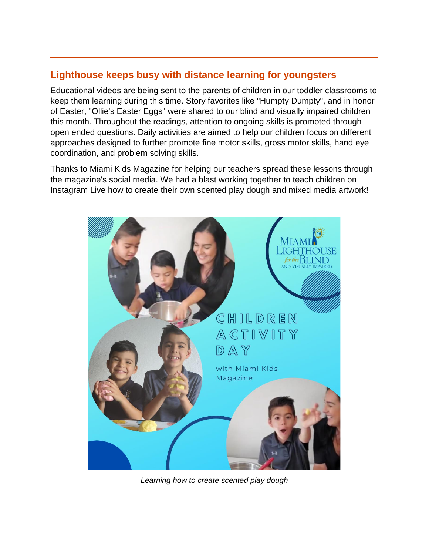#### **Lighthouse keeps busy with distance learning for youngsters**

Educational videos are being sent to the parents of children in our toddler classrooms to keep them learning during this time. Story favorites like "Humpty Dumpty", and in honor of Easter, "Ollie's Easter Eggs" were shared to our blind and visually impaired children this month. Throughout the readings, attention to ongoing skills is promoted through open ended questions. Daily activities are aimed to help our children focus on different approaches designed to further promote fine motor skills, gross motor skills, hand eye coordination, and problem solving skills.

Thanks to Miami Kids Magazine for helping our teachers spread these lessons through the magazine's social media. We had a blast working together to teach children on Instagram Live how to create their own scented play dough and mixed media artwork!



*Learning how to create scented play dough*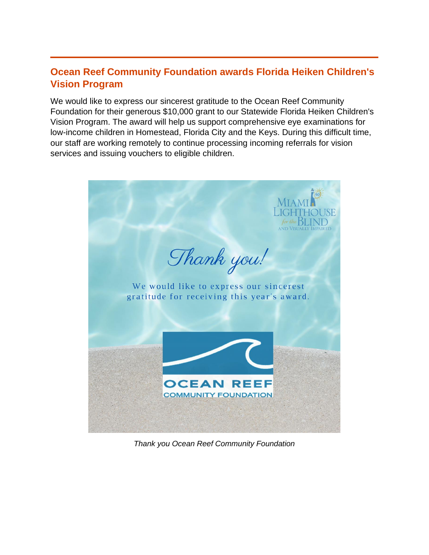## **Ocean Reef Community Foundation awards Florida Heiken Children's Vision Program**

We would like to express our sincerest gratitude to the Ocean Reef Community Foundation for their generous \$10,000 grant to our Statewide Florida Heiken Children's Vision Program. The award will help us support comprehensive eye examinations for low-income children in Homestead, Florida City and the Keys. During this difficult time, our staff are working remotely to continue processing incoming referrals for vision services and issuing vouchers to eligible children.



*Thank you Ocean Reef Community Foundation*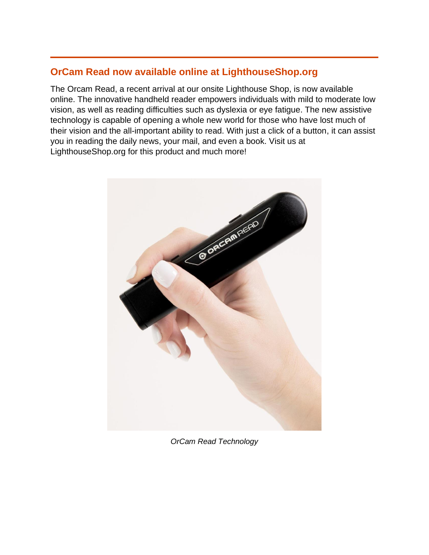#### **OrCam Read now available online at LighthouseShop.org**

The Orcam Read, a recent arrival at our onsite Lighthouse Shop, is now available online. The innovative handheld reader empowers individuals with mild to moderate low vision, as well as reading difficulties such as dyslexia or eye fatigue. The new assistive technology is capable of opening a whole new world for those who have lost much of their vision and the all-important ability to read. With just a click of a button, it can assist you in reading the daily news, your mail, and even a book. Visit us at LighthouseShop.org for this product and much more!



*OrCam Read Technology*